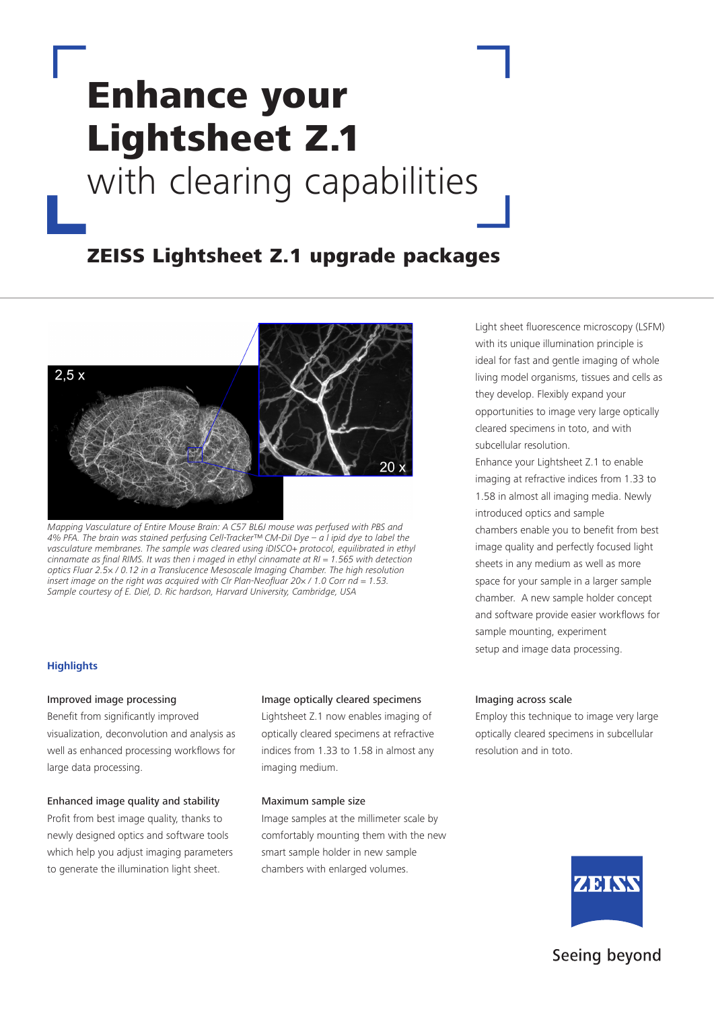# Enhance your Lightsheet Z.1 with clearing capabilities

## ZEISS Lightsheet Z.1 upgrade packages



*Mapping Vasculature of Entire Mouse Brain: A C57 BL6J mouse was perfused with PBS and 4% PFA. The brain was stained perfusing Cell-Tracker™ CM-DiI Dye – a l ipid dye to label the vasculature membranes. The sample was cleared using iDISCO+ protocol, equilibrated in ethyl*  cinnamate as final RIMS. It was then i maged in ethyl cinnamate at  $RI = 1.565$  with detection optics Fluar 2.5× / 0.12 in a Translucence Mesoscale Imaging Chamber. The high resolution insert image on the right was acquired with Clr Plan-Neofluar 20 $\times$  / 1.0 Corr nd = 1.53. Sample courtesy of E. Diel, D. Ric hardson, Harvard University, Cambridge, USA

#### **Highlights**

#### Improved image processing

Benefit from significantly improved visualization, deconvolution and analysis as well as enhanced processing workflows for large data processing.

#### Enhanced image quality and stability

Profit from best image quality, thanks to newly designed optics and software tools which help you adjust imaging parameters to generate the illumination light sheet.

#### Image optically cleared specimens

Lightsheet Z.1 now enables imaging of optically cleared specimens at refractive indices from 1.33 to 1.58 in almost any imaging medium.

#### Maximum sample size

Image samples at the millimeter scale by comfortably mounting them with the new smart sample holder in new sample chambers with enlarged volumes.

Light sheet fluorescence microscopy (LSFM) with its unique illumination principle is ideal for fast and gentle imaging of whole living model organisms, tissues and cells as they develop. Flexibly expand your opportunities to image very large optically cleared specimens in toto, and with subcellular resolution.

Enhance your Lightsheet Z.1 to enable imaging at refractive indices from 1.33 to 1.58 in almost all imaging media. Newly introduced optics and sample chambers enable you to benefit from best image quality and perfectly focused light sheets in any medium as well as more space for your sample in a larger sample chamber. A new sample holder concept and software provide easier workflows for sample mounting, experiment setup and image data processing.

#### Imaging across scale

Employ this technique to image very large optically cleared specimens in subcellular resolution and in toto.



### Seeing beyond